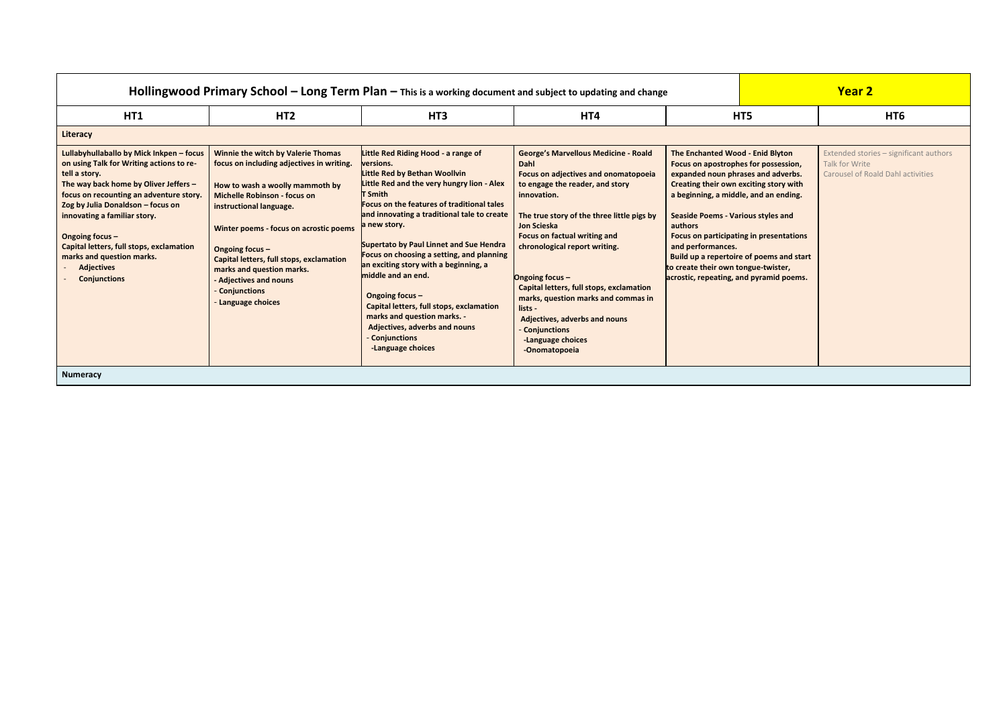| Hollingwood Primary School $-$ Long Term Plan $-$ This is a working document and subject to updating and change                                                                                                                                                                                                                                                                                               |                                                                                                                                                                                                                                                                                                                                                                                          |                                                                                                                                                                                                                                                                                                                                                                                                                                                                                                                                                                                                         |                                                                                                                                                                                                                                                                                                                                                                                                                                                                                                                   |                                                                                                                                                                                                                                                                                                                                                                                                                                                                       | <b>Year 2</b> |                                                                                                      |
|---------------------------------------------------------------------------------------------------------------------------------------------------------------------------------------------------------------------------------------------------------------------------------------------------------------------------------------------------------------------------------------------------------------|------------------------------------------------------------------------------------------------------------------------------------------------------------------------------------------------------------------------------------------------------------------------------------------------------------------------------------------------------------------------------------------|---------------------------------------------------------------------------------------------------------------------------------------------------------------------------------------------------------------------------------------------------------------------------------------------------------------------------------------------------------------------------------------------------------------------------------------------------------------------------------------------------------------------------------------------------------------------------------------------------------|-------------------------------------------------------------------------------------------------------------------------------------------------------------------------------------------------------------------------------------------------------------------------------------------------------------------------------------------------------------------------------------------------------------------------------------------------------------------------------------------------------------------|-----------------------------------------------------------------------------------------------------------------------------------------------------------------------------------------------------------------------------------------------------------------------------------------------------------------------------------------------------------------------------------------------------------------------------------------------------------------------|---------------|------------------------------------------------------------------------------------------------------|
| HT1                                                                                                                                                                                                                                                                                                                                                                                                           | HT <sub>2</sub>                                                                                                                                                                                                                                                                                                                                                                          | HT <sub>3</sub>                                                                                                                                                                                                                                                                                                                                                                                                                                                                                                                                                                                         | HT4                                                                                                                                                                                                                                                                                                                                                                                                                                                                                                               |                                                                                                                                                                                                                                                                                                                                                                                                                                                                       | HT5           | HT <sub>6</sub>                                                                                      |
| <b>Literacy</b>                                                                                                                                                                                                                                                                                                                                                                                               |                                                                                                                                                                                                                                                                                                                                                                                          |                                                                                                                                                                                                                                                                                                                                                                                                                                                                                                                                                                                                         |                                                                                                                                                                                                                                                                                                                                                                                                                                                                                                                   |                                                                                                                                                                                                                                                                                                                                                                                                                                                                       |               |                                                                                                      |
| Lullabyhullaballo by Mick Inkpen - focus<br>on using Talk for Writing actions to re-<br>tell a story.<br>The way back home by Oliver Jeffers -<br>focus on recounting an adventure story.<br>Zog by Julia Donaldson - focus on<br>innovating a familiar story.<br>Ongoing focus -<br><b>Capital letters, full stops, exclamation</b><br>marks and question marks.<br><b>Adjectives</b><br><b>Conjunctions</b> | Winnie the witch by Valerie Thomas<br>focus on including adjectives in writing.<br>How to wash a woolly mammoth by<br><b>Michelle Robinson - focus on</b><br>instructional language.<br>Winter poems - focus on acrostic poems<br>Ongoing focus -<br>Capital letters, full stops, exclamation<br>marks and question marks.<br>- Adjectives and nouns<br>Conjunctions<br>Language choices | Little Red Riding Hood - a range of<br>versions.<br>Little Red by Bethan Woollvin<br>Little Red and the very hungry lion - Alex<br><b>T</b> Smith<br><b>Focus on the features of traditional tales</b><br>and innovating a traditional tale to create<br>a new story.<br>Supertato by Paul Linnet and Sue Hendra<br>Focus on choosing a setting, and planning<br>an exciting story with a beginning, a<br>middle and an end.<br>Ongoing focus -<br>Capital letters, full stops, exclamation<br>marks and question marks. -<br><b>Adjectives, adverbs and nouns</b><br>Conjunctions<br>-Language choices | <b>George's Marvellous Medicine - Roald</b><br><b>Dahl</b><br><b>Focus on adjectives and onomatopoeia</b><br>to engage the reader, and story<br>innovation.<br>The true story of the three little pigs by<br><b>Jon Scieska</b><br><b>Focus on factual writing and</b><br>chronological report writing.<br>Ongoing focus -<br>Capital letters, full stops, exclamation<br>marks, question marks and commas in<br>lists -<br>Adjectives, adverbs and nouns<br>- Conjunctions<br>-Language choices<br>-Onomatopoeia | The Enchanted Wood - Enid Blyton<br>Focus on apostrophes for possession,<br>expanded noun phrases and adverbs.<br><b>Creating their own exciting story with</b><br>a beginning, a middle, and an ending.<br><b>Seaside Poems - Various styles and</b><br>authors<br><b>Focus on participating in presentations</b><br>and performances.<br>Build up a repertoire of poems and start<br>to create their own tongue-twister,<br>acrostic, repeating, and pyramid poems. |               | Extended stories - significant authors<br>Talk for Write<br><b>Carousel of Roald Dahl activities</b> |
| <b>Numeracy</b>                                                                                                                                                                                                                                                                                                                                                                                               |                                                                                                                                                                                                                                                                                                                                                                                          |                                                                                                                                                                                                                                                                                                                                                                                                                                                                                                                                                                                                         |                                                                                                                                                                                                                                                                                                                                                                                                                                                                                                                   |                                                                                                                                                                                                                                                                                                                                                                                                                                                                       |               |                                                                                                      |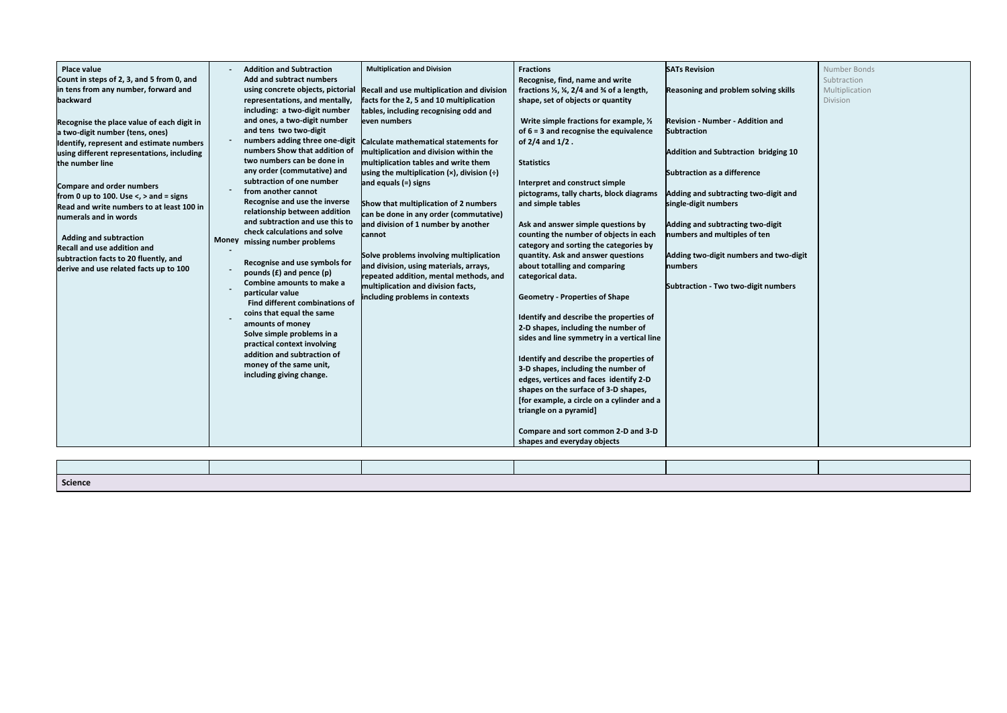| Place value<br>Count in steps of 2, 3, and 5 from 0, and<br>in tens from any number, forward and<br>backward<br>Recognise the place value of each digit in<br>a two-digit number (tens, ones)<br>Identify, represent and estimate numbers<br>using different representations, including<br>the number line<br>Compare and order numbers<br>from 0 up to 100. Use $\lt$ , $>$ and = signs<br>Read and write numbers to at least 100 in<br>numerals and in words<br><b>Adding and subtraction</b><br><b>Recall and use addition and</b><br>subtraction facts to 20 fluently, and<br>derive and use related facts up to 100 | <b>Money</b> | <b>Addition and Subtraction</b><br><b>Add and subtract numbers</b><br>using concrete objects, pictorial<br>representations, and mentally,<br>including: a two-digit number<br>and ones, a two-digit number<br>and tens two two-digit<br>numbers adding three one-digit<br>numbers Show that addition of<br>two numbers can be done in<br>any order (commutative) and<br>subtraction of one number<br>from another cannot<br>Recognise and use the inverse<br>relationship between addition<br>and subtraction and use this to<br>check calculations and solve<br>missing number problems<br>Recognise and use symbols for<br>pounds $(E)$ and pence $(p)$<br>Combine amounts to make a<br>particular value<br><b>Find different combinations of</b><br>coins that equal the same<br>amounts of money<br>Solve simple problems in a<br>practical context involving<br>addition and subtraction of<br>money of the same unit,<br>including giving change. | <b>Multiplication and Division</b><br>Recall and use multiplication and division<br>facts for the 2, 5 and 10 multiplication<br>tables, including recognising odd and<br>even numbers<br>Calculate mathematical statements for<br>multiplication and division within the<br>multiplication tables and write them<br>using the multiplication $(x)$ , division $(\div)$<br>and equals $(=)$ signs<br>Show that multiplication of 2 numbers<br>can be done in any order (commutative)<br>and division of 1 number by another<br><b>cannot</b><br>Solve problems involving multiplication<br>and division, using materials, arrays,<br>repeated addition, mental methods, and<br>multiplication and division facts,<br>including problems in contexts | <b>Fractions</b><br>Recognise, find, name and write<br>fractions $\frac{1}{3}$ , $\frac{1}{4}$ , 2/4 and $\frac{3}{4}$ of a length,<br>shape, set of objects or quantity<br>Write simple fractions for example, 1/2<br>of $6 = 3$ and recognise the equivalence<br>of $2/4$ and $1/2$ .<br><b>Statistics</b><br>Interpret and construct simple<br>pictograms, tally charts, block diagrams<br>and simple tables<br>Ask and answer simple questions by<br>counting the number of objects in each<br>category and sorting the categories by<br>quantity. Ask and answer questions<br>about totalling and comparing<br>categorical data.<br><b>Geometry - Properties of Shape</b><br>Identify and describe the properties of<br>2-D shapes, including the number of<br>sides and line symmetry in a vertical line<br>Identify and describe the properties of<br>3-D shapes, including the number of<br>edges, vertices and faces identify 2-D<br>shapes on the surface of 3-D shapes,<br>[for example, a circle on a cylinder and a<br>triangle on a pyramid]<br>Compare and sort common 2-D and 3-D<br>shapes and everyday objects | <b>SATs Revision</b><br><b>Reasoning and problem solving skills</b><br><b>Revision - Number - Addition and</b><br><b>Subtraction</b><br><b>Addition and Subtraction bridging 10</b><br><b>Subtraction as a difference</b><br>Adding and subtracting two-digit and<br>single-digit numbers<br>Adding and subtracting two-digit<br>numbers and multiples of ten<br>Adding two-digit numbers and two-digit<br>numbers<br>Subtraction - Two two-digit numbers |
|--------------------------------------------------------------------------------------------------------------------------------------------------------------------------------------------------------------------------------------------------------------------------------------------------------------------------------------------------------------------------------------------------------------------------------------------------------------------------------------------------------------------------------------------------------------------------------------------------------------------------|--------------|---------------------------------------------------------------------------------------------------------------------------------------------------------------------------------------------------------------------------------------------------------------------------------------------------------------------------------------------------------------------------------------------------------------------------------------------------------------------------------------------------------------------------------------------------------------------------------------------------------------------------------------------------------------------------------------------------------------------------------------------------------------------------------------------------------------------------------------------------------------------------------------------------------------------------------------------------------|----------------------------------------------------------------------------------------------------------------------------------------------------------------------------------------------------------------------------------------------------------------------------------------------------------------------------------------------------------------------------------------------------------------------------------------------------------------------------------------------------------------------------------------------------------------------------------------------------------------------------------------------------------------------------------------------------------------------------------------------------|----------------------------------------------------------------------------------------------------------------------------------------------------------------------------------------------------------------------------------------------------------------------------------------------------------------------------------------------------------------------------------------------------------------------------------------------------------------------------------------------------------------------------------------------------------------------------------------------------------------------------------------------------------------------------------------------------------------------------------------------------------------------------------------------------------------------------------------------------------------------------------------------------------------------------------------------------------------------------------------------------------------------------------------------------------------------------------------------------------------------------------|-----------------------------------------------------------------------------------------------------------------------------------------------------------------------------------------------------------------------------------------------------------------------------------------------------------------------------------------------------------------------------------------------------------------------------------------------------------|
|--------------------------------------------------------------------------------------------------------------------------------------------------------------------------------------------------------------------------------------------------------------------------------------------------------------------------------------------------------------------------------------------------------------------------------------------------------------------------------------------------------------------------------------------------------------------------------------------------------------------------|--------------|---------------------------------------------------------------------------------------------------------------------------------------------------------------------------------------------------------------------------------------------------------------------------------------------------------------------------------------------------------------------------------------------------------------------------------------------------------------------------------------------------------------------------------------------------------------------------------------------------------------------------------------------------------------------------------------------------------------------------------------------------------------------------------------------------------------------------------------------------------------------------------------------------------------------------------------------------------|----------------------------------------------------------------------------------------------------------------------------------------------------------------------------------------------------------------------------------------------------------------------------------------------------------------------------------------------------------------------------------------------------------------------------------------------------------------------------------------------------------------------------------------------------------------------------------------------------------------------------------------------------------------------------------------------------------------------------------------------------|----------------------------------------------------------------------------------------------------------------------------------------------------------------------------------------------------------------------------------------------------------------------------------------------------------------------------------------------------------------------------------------------------------------------------------------------------------------------------------------------------------------------------------------------------------------------------------------------------------------------------------------------------------------------------------------------------------------------------------------------------------------------------------------------------------------------------------------------------------------------------------------------------------------------------------------------------------------------------------------------------------------------------------------------------------------------------------------------------------------------------------|-----------------------------------------------------------------------------------------------------------------------------------------------------------------------------------------------------------------------------------------------------------------------------------------------------------------------------------------------------------------------------------------------------------------------------------------------------------|

| ving skills   | Number Bonds<br>Subtraction<br>Multiplication<br>Division |
|---------------|-----------------------------------------------------------|
| n and         |                                                           |
| ridging 10    |                                                           |
| digit and     |                                                           |
| -digit<br>en  |                                                           |
| and two-digit |                                                           |
| numbers       |                                                           |
|               |                                                           |
|               |                                                           |
|               |                                                           |
|               |                                                           |
|               |                                                           |
|               |                                                           |
|               |                                                           |

| Science |  |  |
|---------|--|--|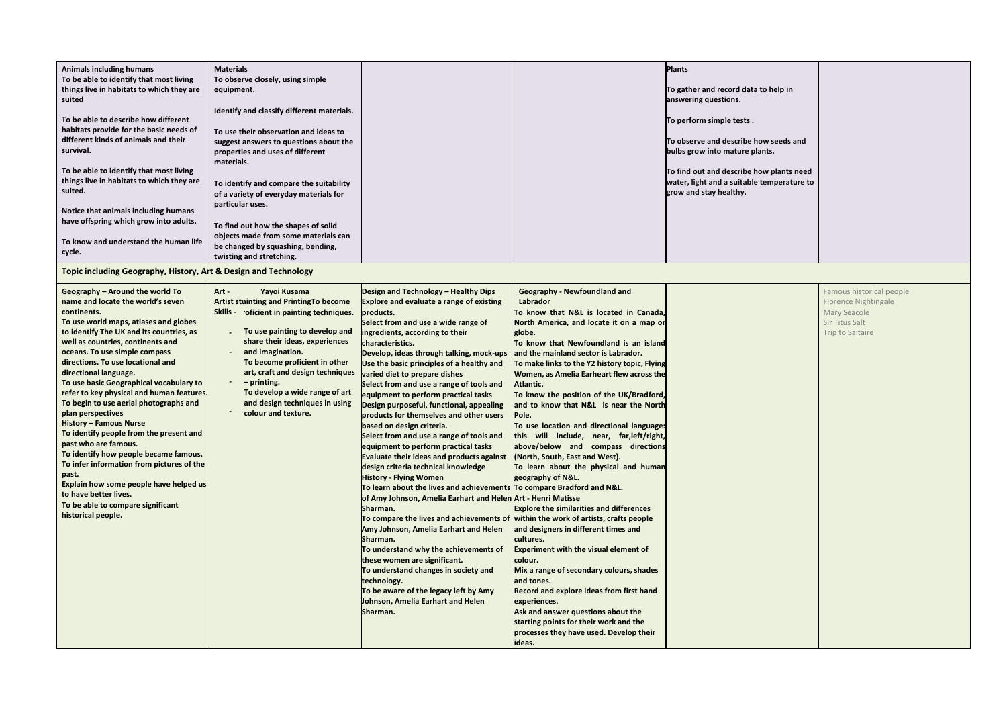| <b>Animals including humans</b><br>To be able to identify that most living<br>things live in habitats to which they are<br>suited<br>To be able to describe how different<br>habitats provide for the basic needs of<br>different kinds of animals and their<br>survival.<br>To be able to identify that most living<br>things live in habitats to which they are<br>suited.<br>Notice that animals including humans<br>have offspring which grow into adults.<br>To know and understand the human life<br>cycle.<br>Topic including Geography, History, Art & Design and Technology                                                                                                                                                                                                                 | <b>Materials</b><br>To observe closely, using simple<br>equipment.<br>Identify and classify different materials.<br>To use their observation and ideas to<br>suggest answers to questions about the<br>properties and uses of different<br>materials.<br>To identify and compare the suitability<br>of a variety of everyday materials for<br>particular uses.<br>To find out how the shapes of solid<br>objects made from some materials can<br>be changed by squashing, bending,<br>twisting and stretching. |                                                                                                                                                                                                                                                                                                                                                                                                                                                                                                                                                                                                                                                                                                                                                                                                                                                                                                                                                                                                                                                                                                                                                                                                                                                                   |                                                                                                                                                                                                                                                                                                                                                                                                                                                                                                                                                                                                                                                                                                                                                                                                                                                                                                                                                                                                                                                                                                                  | <b>Plants</b><br>To gather and record data to help in<br>answering questions.<br>To perform simple tests.<br>To observe and describe how seeds and<br>bulbs grow into mature plants.<br>To find out and describe how plants need<br>water, light and a suitable temperature to<br>grow and stay healthy. |
|------------------------------------------------------------------------------------------------------------------------------------------------------------------------------------------------------------------------------------------------------------------------------------------------------------------------------------------------------------------------------------------------------------------------------------------------------------------------------------------------------------------------------------------------------------------------------------------------------------------------------------------------------------------------------------------------------------------------------------------------------------------------------------------------------|----------------------------------------------------------------------------------------------------------------------------------------------------------------------------------------------------------------------------------------------------------------------------------------------------------------------------------------------------------------------------------------------------------------------------------------------------------------------------------------------------------------|-------------------------------------------------------------------------------------------------------------------------------------------------------------------------------------------------------------------------------------------------------------------------------------------------------------------------------------------------------------------------------------------------------------------------------------------------------------------------------------------------------------------------------------------------------------------------------------------------------------------------------------------------------------------------------------------------------------------------------------------------------------------------------------------------------------------------------------------------------------------------------------------------------------------------------------------------------------------------------------------------------------------------------------------------------------------------------------------------------------------------------------------------------------------------------------------------------------------------------------------------------------------|------------------------------------------------------------------------------------------------------------------------------------------------------------------------------------------------------------------------------------------------------------------------------------------------------------------------------------------------------------------------------------------------------------------------------------------------------------------------------------------------------------------------------------------------------------------------------------------------------------------------------------------------------------------------------------------------------------------------------------------------------------------------------------------------------------------------------------------------------------------------------------------------------------------------------------------------------------------------------------------------------------------------------------------------------------------------------------------------------------------|----------------------------------------------------------------------------------------------------------------------------------------------------------------------------------------------------------------------------------------------------------------------------------------------------------|
| Geography - Around the world To<br>name and locate the world's seven<br>continents.<br>To use world maps, atlases and globes<br>to identify The UK and its countries, as<br>well as countries, continents and<br>oceans. To use simple compass<br>directions. To use locational and<br>directional language.<br>To use basic Geographical vocabulary to<br>refer to key physical and human features.<br>To begin to use aerial photographs and<br>plan perspectives<br><b>History - Famous Nurse</b><br>To identify people from the present and<br>past who are famous.<br>To identify how people became famous.<br>To infer information from pictures of the<br>past.<br>Explain how some people have helped us<br>to have better lives.<br>To be able to compare significant<br>historical people. | Yayoi Kusama<br>Art -<br><b>Artist stuinting and PrintingTo become</b><br>Skills - oficient in painting techniques.<br>To use painting to develop and<br>share their ideas, experiences<br>and imagination.<br>To become proficient in other<br>art, craft and design techniques<br>$-$ printing.<br>To develop a wide range of art<br>and design techniques in using<br>colour and texture.                                                                                                                   | Design and Technology - Healthy Dips<br>Explore and evaluate a range of existing<br>products.<br>Select from and use a wide range of<br>ingredients, according to their<br>characteristics.<br>Develop, ideas through talking, mock-ups<br>Use the basic principles of a healthy and<br>varied diet to prepare dishes<br>Select from and use a range of tools and<br>equipment to perform practical tasks<br>Design purposeful, functional, appealing<br>products for themselves and other users<br>based on design criteria.<br>Select from and use a range of tools and<br>equipment to perform practical tasks<br>Evaluate their ideas and products against<br>design criteria technical knowledge<br><b>History - Flying Women</b><br>To learn about the lives and achievements To compare Bradford and N&L.<br>of Amy Johnson, Amelia Earhart and Helen Art - Henri Matisse<br>Sharman.<br>To compare the lives and achievements of within the work of artists, crafts people<br>Amy Johnson, Amelia Earhart and Helen<br>Sharman.<br>To understand why the achievements of<br>these women are significant.<br>To understand changes in society and<br>technology.<br>To be aware of the legacy left by Amy<br>Johnson, Amelia Earhart and Helen<br>Sharman. | <b>Geography - Newfoundland and</b><br>Labrador<br>To know that N&L is located in Canada,<br>North America, and locate it on a map or<br>globe.<br>To know that Newfoundland is an island<br>and the mainland sector is Labrador.<br>To make links to the Y2 history topic, Flying<br>Women, as Amelia Earheart flew across the<br>Atlantic.<br>To know the position of the UK/Bradford,<br>and to know that N&L is near the North<br>Pole.<br>To use location and directional language:<br>this will include, near, far, left/right,<br>above/below and compass directions<br>(North, South, East and West).<br>To learn about the physical and human<br>geography of N&L.<br><b>Explore the similarities and differences</b><br>and designers in different times and<br>cultures.<br><b>Experiment with the visual element of</b><br>colour.<br>Mix a range of secondary colours, shades<br>and tones.<br><b>Record and explore ideas from first hand</b><br>experiences.<br>Ask and answer questions about the<br>starting points for their work and the<br>processes they have used. Develop their<br>ideas. |                                                                                                                                                                                                                                                                                                          |

| to help in                      |  |
|---------------------------------|--|
| w seeds and<br>nts.             |  |
| w plants need<br>temperature to |  |
|                                 |  |
|                                 |  |

| Famous historical people<br>Florence Nightingale<br>Mary Seacole<br>Sir Titus Salt<br>Trip to Saltaire |
|--------------------------------------------------------------------------------------------------------|
|                                                                                                        |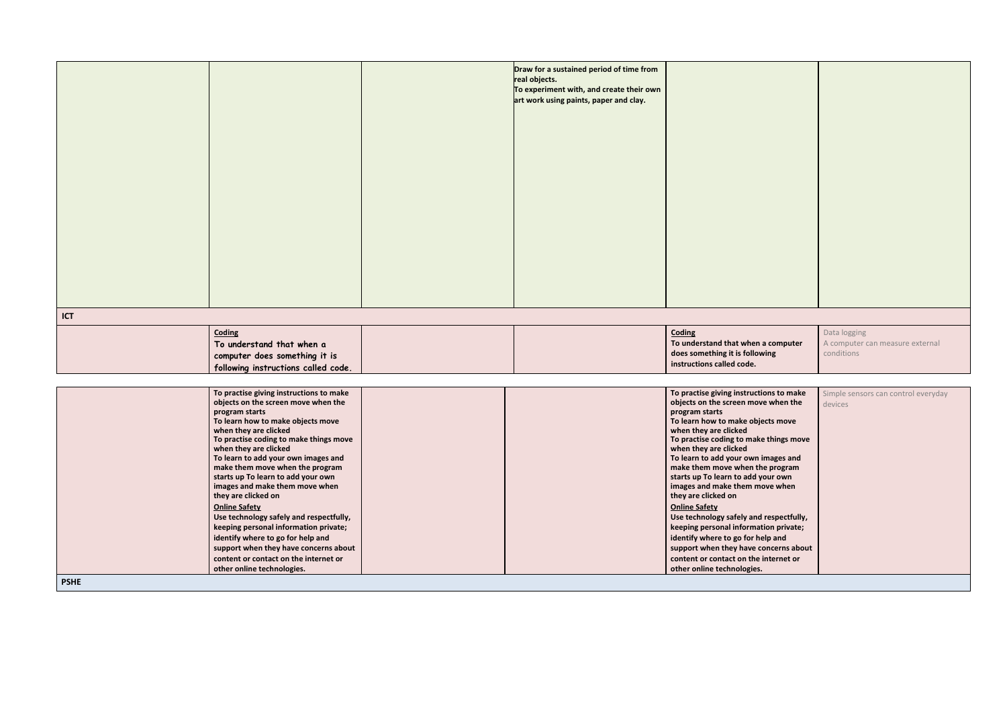|             | Data logging                        |
|-------------|-------------------------------------|
| a computer  | A computer can measure external     |
| ving        | conditions                          |
|             |                                     |
|             |                                     |
| ons to make | Simple sensors can control everyday |

|     |                                                                                                                    | Draw for a sustained period of time from<br>real objects.<br>To experiment with, and create their own<br>art work using paints, paper and clay. |                                                                                                             |
|-----|--------------------------------------------------------------------------------------------------------------------|-------------------------------------------------------------------------------------------------------------------------------------------------|-------------------------------------------------------------------------------------------------------------|
| ICT |                                                                                                                    |                                                                                                                                                 |                                                                                                             |
|     | <b>Coding</b><br>To understand that when a<br>computer does something it is<br>following instructions called code. |                                                                                                                                                 | Coding<br>To understand that when a computer<br>does something it is following<br>instructions called code. |
|     | To practise giving instructions to make<br>objects on the screen move when the<br>$\frac{1}{2}$                    |                                                                                                                                                 | To practise giving instructions to make<br>objects on the screen move when the<br>nxogram starts            |

|                       | $\sim$ processes group monotoneme to mono | $\sim$ processes grading move accesses to mone |
|-----------------------|-------------------------------------------|------------------------------------------------|
|                       | objects on the screen move when the       | objects on the screen move when the            |
| program starts        |                                           | program starts                                 |
|                       | To learn how to make objects move         | To learn how to make objects move              |
| when they are clicked |                                           | when they are clicked                          |
|                       | To practise coding to make things move    | To practise coding to make things move         |
| when they are clicked |                                           | when they are clicked                          |
|                       | To learn to add your own images and       | To learn to add your own images and            |
|                       | make them move when the program           | make them move when the program                |
|                       | starts up To learn to add your own        | starts up To learn to add your own             |
|                       | images and make them move when            | images and make them move when                 |
| they are clicked on   |                                           | they are clicked on                            |
| <b>Online Safety</b>  |                                           | <b>Online Safety</b>                           |
|                       | Use technology safely and respectfully,   | Use technology safely and respectfully,        |
|                       | keeping personal information private;     | keeping personal information private;          |
|                       | identify where to go for help and         | identify where to go for help and              |
|                       | support when they have concerns about     | support when they have concerns about          |
|                       | content or contact on the internet or     | content or contact on the internet or          |
|                       | other online technologies.                | other online technologies.                     |
| <b>PSHE</b>           |                                           |                                                |

| ions to make<br>e when the                                                | Simple sensors can control everyday<br>devices |
|---------------------------------------------------------------------------|------------------------------------------------|
| ects move                                                                 |                                                |
| e things move                                                             |                                                |
| images and<br>e program<br>our own<br>ove when                            |                                                |
| respectfully,<br>tion private;<br>elp and<br>oncerns about<br>internet or |                                                |
|                                                                           |                                                |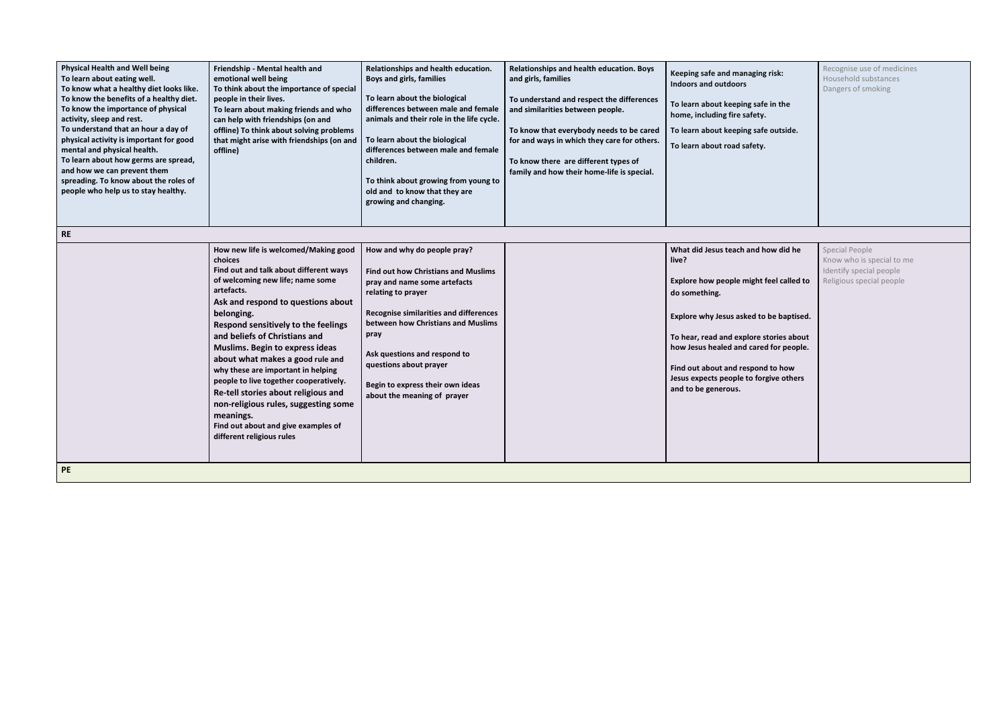| <b>Physical Health and Well being</b><br>To learn about eating well.<br>To know what a healthy diet looks like.<br>To know the benefits of a healthy diet.<br>To know the importance of physical<br>activity, sleep and rest.<br>To understand that an hour a day of<br>physical activity is important for good<br>mental and physical health.<br>To learn about how germs are spread,<br>and how we can prevent them<br>spreading. To know about the roles of<br>people who help us to stay healthy.<br><b>RE</b> | Friendship - Mental health and<br>emotional well being<br>To think about the importance of special<br>people in their lives.<br>To learn about making friends and who<br>can help with friendships (on and<br>offline) To think about solving problems<br>that might arise with friendships (on and<br>offline)                                                                                                                                                                                                                                                                                | Relationships and health education.<br><b>Boys and girls, families</b><br>To learn about the biological<br>differences between male and female<br>animals and their role in the life cycle.<br>To learn about the biological<br>differences between male and female<br>children.<br>To think about growing from young to<br>old and to know that they are<br>growing and changing. | Relationships and health education. Boys<br>and girls, families<br>To understand and respect the differences<br>and similarities between people.<br>To know that everybody needs to be cared<br>for and ways in which they care for others.<br>To know there are different types of<br>family and how their home-life is special. | Keeping safe and managing risk:<br><b>Indoors and outdoors</b><br>To learn about keeping safe in the<br>home, including fire safety.<br>To learn about keeping safe outside.<br>To learn about road safety.                                                                                                                                    |
|--------------------------------------------------------------------------------------------------------------------------------------------------------------------------------------------------------------------------------------------------------------------------------------------------------------------------------------------------------------------------------------------------------------------------------------------------------------------------------------------------------------------|------------------------------------------------------------------------------------------------------------------------------------------------------------------------------------------------------------------------------------------------------------------------------------------------------------------------------------------------------------------------------------------------------------------------------------------------------------------------------------------------------------------------------------------------------------------------------------------------|------------------------------------------------------------------------------------------------------------------------------------------------------------------------------------------------------------------------------------------------------------------------------------------------------------------------------------------------------------------------------------|-----------------------------------------------------------------------------------------------------------------------------------------------------------------------------------------------------------------------------------------------------------------------------------------------------------------------------------|------------------------------------------------------------------------------------------------------------------------------------------------------------------------------------------------------------------------------------------------------------------------------------------------------------------------------------------------|
| PE                                                                                                                                                                                                                                                                                                                                                                                                                                                                                                                 | How new life is welcomed/Making good<br>choices<br>Find out and talk about different ways<br>of welcoming new life; name some<br>artefacts.<br>Ask and respond to questions about<br>belonging.<br>Respond sensitively to the feelings<br>and beliefs of Christians and<br>Muslims. Begin to express ideas<br>about what makes a good rule and<br>why these are important in helping<br>people to live together cooperatively.<br>Re-tell stories about religious and<br>non-religious rules, suggesting some<br>meanings.<br>Find out about and give examples of<br>different religious rules | How and why do people pray?<br><b>Find out how Christians and Muslims</b><br>pray and name some artefacts<br>relating to prayer<br><b>Recognise similarities and differences</b><br>between how Christians and Muslims<br>pray<br>Ask questions and respond to<br>questions about prayer<br>Begin to express their own ideas<br>about the meaning of prayer                        |                                                                                                                                                                                                                                                                                                                                   | What did Jesus teach and how did he<br>live?<br>Explore how people might feel called to<br>do something.<br>Explore why Jesus asked to be baptised.<br>To hear, read and explore stories about<br>how Jesus healed and cared for people.<br>Find out about and respond to how<br>Jesus expects people to forgive others<br>and to be generous. |

| g risk:<br>fe in the<br>1.<br>fe outside.<br>ı. | Recognise use of medicines<br>Household substances<br>Dangers of smoking                                  |
|-------------------------------------------------|-----------------------------------------------------------------------------------------------------------|
|                                                 |                                                                                                           |
| how did he<br>feel called to                    | <b>Special People</b><br>Know who is special to me<br>Identify special people<br>Religious special people |
| o be baptised.                                  |                                                                                                           |
| stories about<br>ed for people.                 |                                                                                                           |
| d to how<br>rgive others                        |                                                                                                           |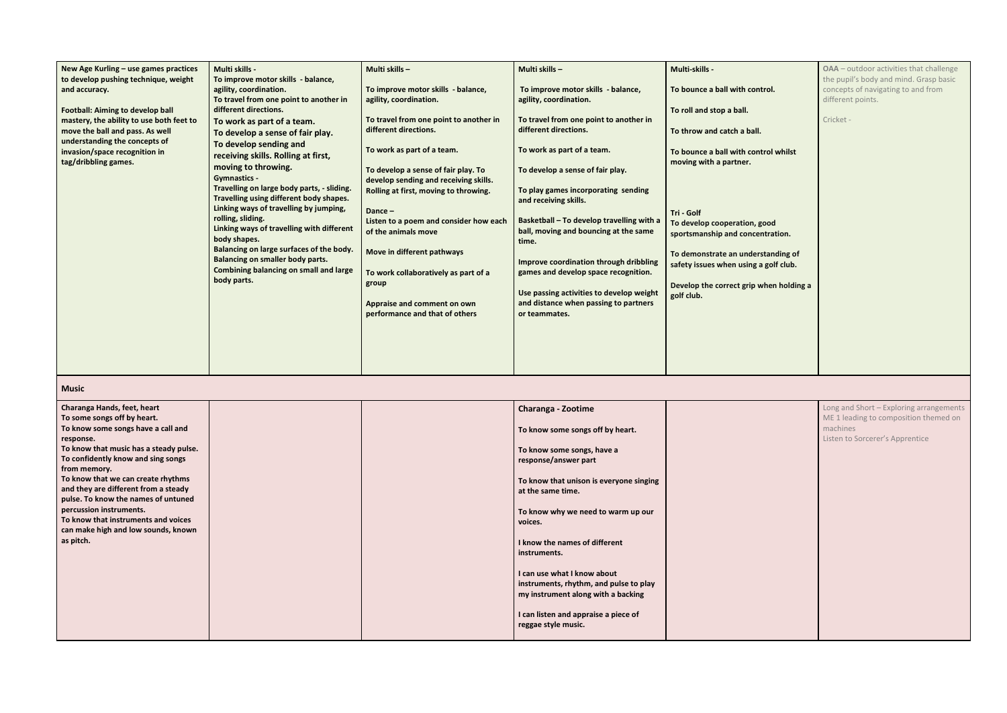| New Age Kurling - use games practices<br>to develop pushing technique, weight<br>and accuracy.<br><b>Football: Aiming to develop ball</b><br>mastery, the ability to use both feet to<br>move the ball and pass. As well<br>understanding the concepts of<br>invasion/space recognition in<br>tag/dribbling games. | <b>Multi skills -</b><br>To improve motor skills - balance,<br>agility, coordination.<br>To travel from one point to another in<br>different directions.<br>To work as part of a team.<br>To develop a sense of fair play.<br>To develop sending and<br>receiving skills. Rolling at first,<br>moving to throwing.<br><b>Gymnastics -</b><br>Travelling on large body parts, - sliding.<br>Travelling using different body shapes.<br>Linking ways of travelling by jumping,<br>rolling, sliding.<br>Linking ways of travelling with different<br>body shapes.<br>Balancing on large surfaces of the body.<br><b>Balancing on smaller body parts.</b><br><b>Combining balancing on small and large</b><br>body parts. | Multi skills-<br>To improve motor skills - balance,<br>agility, coordination.<br>To travel from one point to another in<br>different directions.<br>To work as part of a team.<br>To develop a sense of fair play. To<br>develop sending and receiving skills.<br>Rolling at first, moving to throwing.<br>Dance-<br>Listen to a poem and consider how each<br>of the animals move<br>Move in different pathways<br>To work collaboratively as part of a<br>group<br>Appraise and comment on own<br>performance and that of others | Multi skills -<br>To improve motor skills - balance,<br>agility, coordination.<br>To travel from one point to another in<br>different directions.<br>To work as part of a team.<br>To develop a sense of fair play.<br>To play games incorporating sending<br>and receiving skills.<br>Basketball - To develop travelling with a<br>ball, moving and bouncing at the same<br>time.<br>Improve coordination through dribbling<br>games and develop space recognition.<br>Use passing activities to develop weight<br>and distance when passing to partners<br>or teammates. | Multi-skills -<br>To bounce a ball with control.<br>To roll and stop a ball.<br>To throw and catch a ball.<br>To bounce a ball with control whilst<br>moving with a partner.<br>Tri - Golf<br>To develop cooperation, good<br>sportsmanship and concentration.<br>To demonstrate an understanding of<br>safety issues when using a golf club.<br>Develop the correct grip when holding a<br>golf club. |
|--------------------------------------------------------------------------------------------------------------------------------------------------------------------------------------------------------------------------------------------------------------------------------------------------------------------|-----------------------------------------------------------------------------------------------------------------------------------------------------------------------------------------------------------------------------------------------------------------------------------------------------------------------------------------------------------------------------------------------------------------------------------------------------------------------------------------------------------------------------------------------------------------------------------------------------------------------------------------------------------------------------------------------------------------------|------------------------------------------------------------------------------------------------------------------------------------------------------------------------------------------------------------------------------------------------------------------------------------------------------------------------------------------------------------------------------------------------------------------------------------------------------------------------------------------------------------------------------------|----------------------------------------------------------------------------------------------------------------------------------------------------------------------------------------------------------------------------------------------------------------------------------------------------------------------------------------------------------------------------------------------------------------------------------------------------------------------------------------------------------------------------------------------------------------------------|--------------------------------------------------------------------------------------------------------------------------------------------------------------------------------------------------------------------------------------------------------------------------------------------------------------------------------------------------------------------------------------------------------|

| trol.                       | OAA - outdoor activities that challenge<br>the pupil's body and mind. Grasp basic<br>concepts of navigating to and from<br>different points. |
|-----------------------------|----------------------------------------------------------------------------------------------------------------------------------------------|
|                             | Cricket -                                                                                                                                    |
| trol whilst                 |                                                                                                                                              |
|                             |                                                                                                                                              |
|                             |                                                                                                                                              |
| ood<br>ntration.            |                                                                                                                                              |
| standing of<br>a golf club. |                                                                                                                                              |
| vhen holding a              |                                                                                                                                              |
|                             |                                                                                                                                              |
|                             |                                                                                                                                              |
|                             |                                                                                                                                              |

## **Music**

| Charanga Hands, feet, heart            |  | <b>Charanga - Zootime</b>               |  |
|----------------------------------------|--|-----------------------------------------|--|
| To some songs off by heart.            |  |                                         |  |
| To know some songs have a call and     |  |                                         |  |
|                                        |  | To know some songs off by heart.        |  |
| response.                              |  |                                         |  |
| To know that music has a steady pulse. |  | To know some songs, have a              |  |
| To confidently know and sing songs     |  | response/answer part                    |  |
| from memory.                           |  |                                         |  |
| To know that we can create rhythms     |  |                                         |  |
| and they are different from a steady   |  | To know that unison is everyone singing |  |
|                                        |  | at the same time.                       |  |
| pulse. To know the names of untuned    |  |                                         |  |
| percussion instruments.                |  | To know why we need to warm up our      |  |
| To know that instruments and voices    |  | voices.                                 |  |
| can make high and low sounds, known    |  |                                         |  |
| as pitch.                              |  | I know the names of different           |  |
|                                        |  |                                         |  |
|                                        |  | instruments.                            |  |
|                                        |  |                                         |  |
|                                        |  | I can use what I know about             |  |
|                                        |  | instruments, rhythm, and pulse to play  |  |
|                                        |  | my instrument along with a backing      |  |
|                                        |  |                                         |  |
|                                        |  |                                         |  |
|                                        |  | I can listen and appraise a piece of    |  |
|                                        |  | reggae style music.                     |  |
|                                        |  |                                         |  |
|                                        |  |                                         |  |

| Long and Short - Exploring arrangements<br>ME 1 leading to composition themed on<br>machines<br>Listen to Sorcerer's Apprentice |
|---------------------------------------------------------------------------------------------------------------------------------|
|                                                                                                                                 |